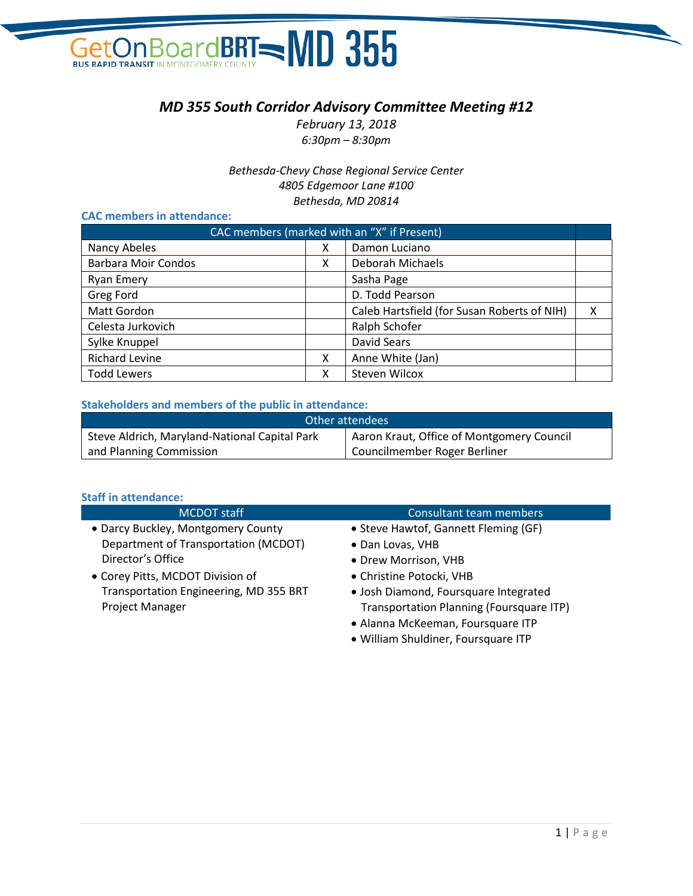### On Board BRT NO 355 **GetOn Board**

#### *MD 355 South Corridor Advisory Committee Meeting #12*

*February 13, 2018 6:30pm – 8:30pm*

*Bethesda-Chevy Chase Regional Service Center 4805 Edgemoor Lane #100 Bethesda, MD 20814*

#### **CAC members in attendance:**

| CAC members (marked with an "X" if Present) |   |                                             |   |
|---------------------------------------------|---|---------------------------------------------|---|
| Nancy Abeles                                | x | Damon Luciano                               |   |
| <b>Barbara Moir Condos</b>                  | x | Deborah Michaels                            |   |
| Ryan Emery                                  |   | Sasha Page                                  |   |
| <b>Greg Ford</b>                            |   | D. Todd Pearson                             |   |
| <b>Matt Gordon</b>                          |   | Caleb Hartsfield (for Susan Roberts of NIH) | x |
| Celesta Jurkovich                           |   | Ralph Schofer                               |   |
| Sylke Knuppel                               |   | <b>David Sears</b>                          |   |
| <b>Richard Levine</b>                       | x | Anne White (Jan)                            |   |
| <b>Todd Lewers</b>                          | х | <b>Steven Wilcox</b>                        |   |

#### **Stakeholders and members of the public in attendance:**

| Other attendees                               |                                           |  |
|-----------------------------------------------|-------------------------------------------|--|
| Steve Aldrich, Maryland-National Capital Park | Aaron Kraut, Office of Montgomery Council |  |
| and Planning Commission                       | Councilmember Roger Berliner              |  |

#### **Staff in attendance:**

| <b>MCDOT</b> staff                     | <b>Consultant team members</b>                                                                                                                                                                                                       |
|----------------------------------------|--------------------------------------------------------------------------------------------------------------------------------------------------------------------------------------------------------------------------------------|
| • Darcy Buckley, Montgomery County     | • Steve Hawtof, Gannett Fleming (GF)                                                                                                                                                                                                 |
| Department of Transportation (MCDOT)   | • Dan Lovas, VHB                                                                                                                                                                                                                     |
| Director's Office                      | • Drew Morrison, VHB                                                                                                                                                                                                                 |
| • Corey Pitts, MCDOT Division of       | • Christine Potocki, VHB                                                                                                                                                                                                             |
| Transportation Engineering, MD 355 BRT | • Josh Diamond, Foursquare Integrated                                                                                                                                                                                                |
| <b>Project Manager</b>                 | Transportation Planning (Foursquare ITP)                                                                                                                                                                                             |
|                                        | • Alanna McKeeman, Foursquare ITP                                                                                                                                                                                                    |
|                                        | $\mathbf{A}$ and $\mathbf{A}$ are the set of the set of the set of the set of the set of the set of the set of the set of the set of the set of the set of the set of the set of the set of the set of the set of the set of the set |

• William Shuldiner, Foursquare ITP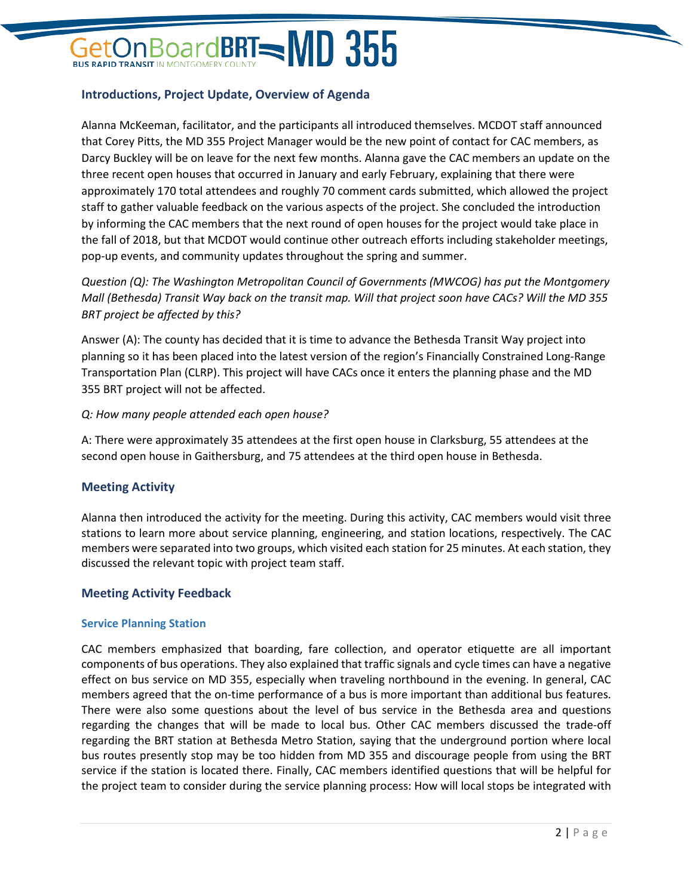## **BoardBRT=MD 355**

#### **Introductions, Project Update, Overview of Agenda**

Alanna McKeeman, facilitator, and the participants all introduced themselves. MCDOT staff announced that Corey Pitts, the MD 355 Project Manager would be the new point of contact for CAC members, as Darcy Buckley will be on leave for the next few months. Alanna gave the CAC members an update on the three recent open houses that occurred in January and early February, explaining that there were approximately 170 total attendees and roughly 70 comment cards submitted, which allowed the project staff to gather valuable feedback on the various aspects of the project. She concluded the introduction by informing the CAC members that the next round of open houses for the project would take place in the fall of 2018, but that MCDOT would continue other outreach efforts including stakeholder meetings, pop-up events, and community updates throughout the spring and summer.

*Question (Q): The Washington Metropolitan Council of Governments (MWCOG) has put the Montgomery Mall (Bethesda) Transit Way back on the transit map. Will that project soon have CACs? Will the MD 355 BRT project be affected by this?*

Answer (A): The county has decided that it is time to advance the Bethesda Transit Way project into planning so it has been placed into the latest version of the region's Financially Constrained Long-Range Transportation Plan (CLRP). This project will have CACs once it enters the planning phase and the MD 355 BRT project will not be affected.

#### *Q: How many people attended each open house?*

A: There were approximately 35 attendees at the first open house in Clarksburg, 55 attendees at the second open house in Gaithersburg, and 75 attendees at the third open house in Bethesda.

#### **Meeting Activity**

Alanna then introduced the activity for the meeting. During this activity, CAC members would visit three stations to learn more about service planning, engineering, and station locations, respectively. The CAC members were separated into two groups, which visited each station for 25 minutes. At each station, they discussed the relevant topic with project team staff.

#### **Meeting Activity Feedback**

#### **Service Planning Station**

CAC members emphasized that boarding, fare collection, and operator etiquette are all important components of bus operations. They also explained that traffic signals and cycle times can have a negative effect on bus service on MD 355, especially when traveling northbound in the evening. In general, CAC members agreed that the on-time performance of a bus is more important than additional bus features. There were also some questions about the level of bus service in the Bethesda area and questions regarding the changes that will be made to local bus. Other CAC members discussed the trade-off regarding the BRT station at Bethesda Metro Station, saying that the underground portion where local bus routes presently stop may be too hidden from MD 355 and discourage people from using the BRT service if the station is located there. Finally, CAC members identified questions that will be helpful for the project team to consider during the service planning process: How will local stops be integrated with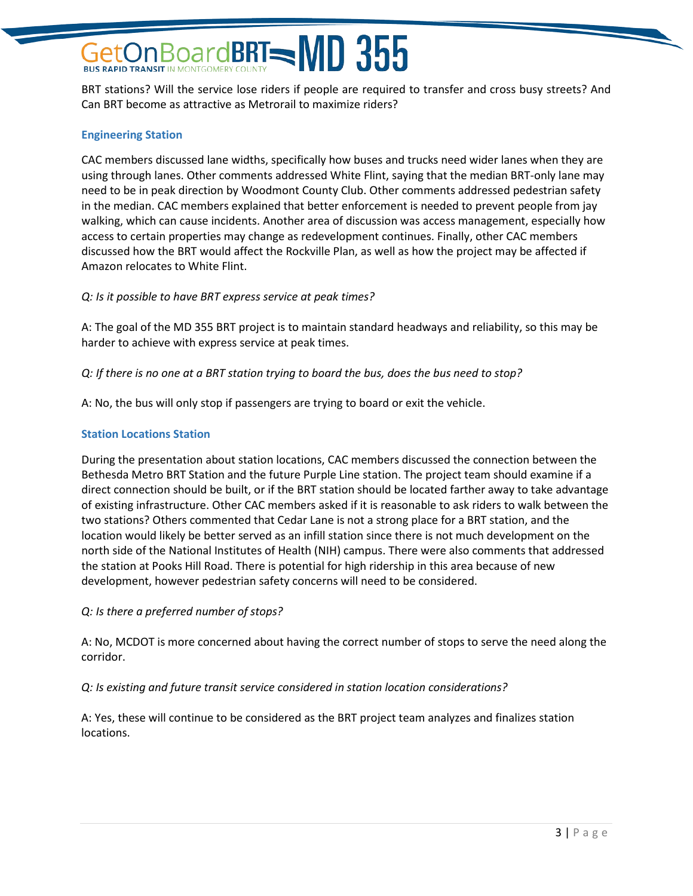## **BoardBRT=** $MD$  **355**

BRT stations? Will the service lose riders if people are required to transfer and cross busy streets? And Can BRT become as attractive as Metrorail to maximize riders?

#### **Engineering Station**

CAC members discussed lane widths, specifically how buses and trucks need wider lanes when they are using through lanes. Other comments addressed White Flint, saying that the median BRT-only lane may need to be in peak direction by Woodmont County Club. Other comments addressed pedestrian safety in the median. CAC members explained that better enforcement is needed to prevent people from jay walking, which can cause incidents. Another area of discussion was access management, especially how access to certain properties may change as redevelopment continues. Finally, other CAC members discussed how the BRT would affect the Rockville Plan, as well as how the project may be affected if Amazon relocates to White Flint.

#### *Q: Is it possible to have BRT express service at peak times?*

A: The goal of the MD 355 BRT project is to maintain standard headways and reliability, so this may be harder to achieve with express service at peak times.

#### *Q: If there is no one at a BRT station trying to board the bus, does the bus need to stop?*

A: No, the bus will only stop if passengers are trying to board or exit the vehicle.

#### **Station Locations Station**

During the presentation about station locations, CAC members discussed the connection between the Bethesda Metro BRT Station and the future Purple Line station. The project team should examine if a direct connection should be built, or if the BRT station should be located farther away to take advantage of existing infrastructure. Other CAC members asked if it is reasonable to ask riders to walk between the two stations? Others commented that Cedar Lane is not a strong place for a BRT station, and the location would likely be better served as an infill station since there is not much development on the north side of the National Institutes of Health (NIH) campus. There were also comments that addressed the station at Pooks Hill Road. There is potential for high ridership in this area because of new development, however pedestrian safety concerns will need to be considered.

#### *Q: Is there a preferred number of stops?*

A: No, MCDOT is more concerned about having the correct number of stops to serve the need along the corridor.

#### *Q: Is existing and future transit service considered in station location considerations?*

A: Yes, these will continue to be considered as the BRT project team analyzes and finalizes station locations.